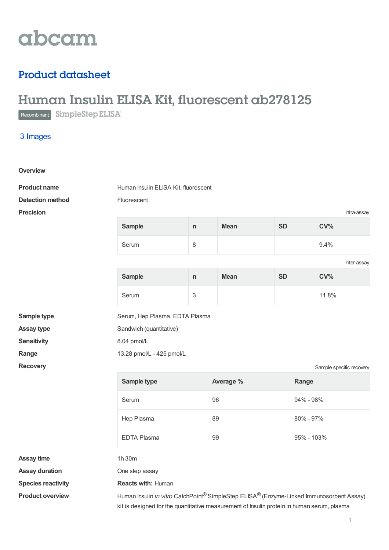# abcam

## Product datasheet

## Human Insulin ELISA Kit, fluorescent ab278125

Recombinant SimpleStep ELISA<sup>®</sup>

3 Images

| Overview                  |                                                                                          |    |             |           |                          |  |
|---------------------------|------------------------------------------------------------------------------------------|----|-------------|-----------|--------------------------|--|
| <b>Product name</b>       | Human Insulin ELISA Kit, fluorescent                                                     |    |             |           |                          |  |
| <b>Detection method</b>   | Fluorescent                                                                              |    |             |           |                          |  |
| <b>Precision</b>          |                                                                                          |    |             |           | Intra-assay              |  |
|                           | <b>Sample</b>                                                                            | n  | <b>Mean</b> | <b>SD</b> | CV <sub>0</sub>          |  |
|                           | Serum                                                                                    | 8  |             |           | 9.4%                     |  |
|                           | Inter-assay                                                                              |    |             |           |                          |  |
|                           | <b>Sample</b>                                                                            | n. | <b>Mean</b> | <b>SD</b> | CV%                      |  |
|                           | Serum                                                                                    | 3  |             |           | 11.8%                    |  |
| Sample type               | Serum, Hep Plasma, EDTA Plasma                                                           |    |             |           |                          |  |
| <b>Assay type</b>         | Sandwich (quantitative)                                                                  |    |             |           |                          |  |
| <b>Sensitivity</b>        | 8.04 pmol/L                                                                              |    |             |           |                          |  |
| Range                     | 13.28 pmol/L - 425 pmol/L                                                                |    |             |           |                          |  |
| <b>Recovery</b>           |                                                                                          |    |             |           | Sample specific recovery |  |
|                           | Sample type                                                                              |    | Average %   |           | Range                    |  |
|                           | Serum                                                                                    |    | 96          |           | 94% - 98%                |  |
|                           | Hep Plasma                                                                               | 89 |             |           | 80% - 97%                |  |
|                           | EDTA Plasma                                                                              |    | 99          |           | 95% - 103%               |  |
| <b>Assay time</b>         | 1h 30m                                                                                   |    |             |           |                          |  |
| <b>Assay duration</b>     | One step assay                                                                           |    |             |           |                          |  |
| <b>Species reactivity</b> | <b>Reacts with: Human</b>                                                                |    |             |           |                          |  |
| <b>Product overview</b>   | Human Insulin in vitro CatchPoint® SimpleStep ELISA® (Enzyme-Linked Immunosorbent Assay) |    |             |           |                          |  |

kit is designed for the quantitative measurement of Insulin protein in human serum, plasma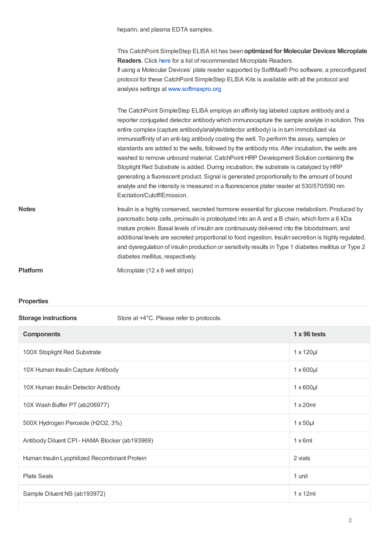heparin, and plasma EDTA samples.

This CatchPoint SimpleStep ELISA kit has been **optimized for Molecular Devices Microplate Readers**. Click [here](https://www.moleculardevices.com/catchpoint-simplestep-elisa-readers) for a list of recommended Microplate Readers. If using a Molecular Devices' plate reader supported by SoftMax® Pro software, a preconfigured protocol for these CatchPoint SimpleStep ELISA Kits is available with all the protocol and analysis settings at [www.softmaxpro.org](http://www.softmaxpro.org)

The CatchPoint SimpleStep ELISA employs an affinity tag labeled capture antibody and a reporter conjugated detector antibody which immunocapture the sample analyte in solution. This entire complex (capture antibody/analyte/detector antibody) is in turn immobilized via immunoaffinity of an anti-tag antibody coating the well. To perform the assay, samples or standards are added to the wells, followed by the antibody mix. After incubation, the wells are washed to remove unbound material. CatchPoint HRP Development Solution containing the Stoplight Red Substrate is added. During incubation, the substrate is catalyzed by HRP generating a fluorescent product. Signal is generated proportionally to the amount of bound analyte and the intensity is measured in a fluorescence plater reader at 530/570/590 nm Excitation/Cutoff/Emission.

**Notes Insulin is a highly conserved, secreted hormone essential for glucose metabolism. Produced by** pancreatic beta cells, proinsulin is proteolyzed into an A and a B chain, which form a 6 kDa mature protein. Basal levels of insulin are continuously delivered into the bloodstream, and additional levels are secreted proportional to food ingestion. Insulin secretion is highly regulated, and dysregulation of insulin production or sensitivity results in Type 1 diabetes mellitus or Type 2 diabetes mellitus, respectively.

**Platform** Microplate (12 x 8 well strips)

### **Properties**

**Storage instructions** Store at +4°C. Please refer to protocols.

| <b>Components</b>                              | $1 \times 96$ tests |
|------------------------------------------------|---------------------|
| 100X Stoplight Red Substrate                   | $1 \times 120 \mu$  |
| 10X Human Insulin Capture Antibody             | $1 \times 600$ µl   |
| 10X Human Insulin Detector Antibody            | $1 \times 600$ µl   |
| 10X Wash Buffer PT (ab206977)                  | $1 \times 20$ ml    |
| 500X Hydrogen Peroxide (H2O2, 3%)              | $1 \times 50$ µl    |
| Antibody Diluent CPI - HAMA Blocker (ab193969) | $1 \times 6$ ml     |
| Human Insulin Lyophilized Recombinant Protein  | 2 vials             |
| <b>Plate Seals</b>                             | 1 unit              |
| Sample Diluent NS (ab193972)                   | $1 \times 12$ ml    |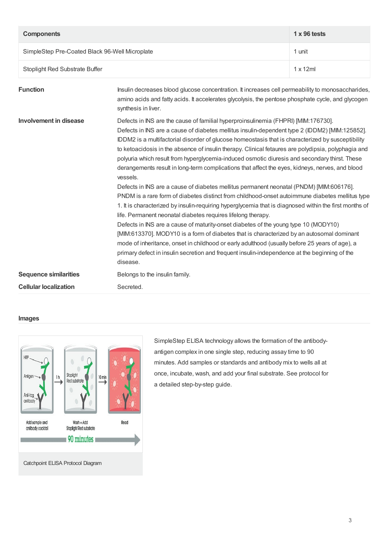| <b>Components</b>                              | $1 \times 96$ tests |
|------------------------------------------------|---------------------|
| SimpleStep Pre-Coated Black 96-Well Microplate | 1 unit              |
| Stoplight Red Substrate Buffer                 | $1 \times 12$ ml    |

| <b>Function</b>               | Insulin decreases blood glucose concentration. It increases cell permeability to monosaccharides,<br>amino acids and fatty acids. It accelerates glycolysis, the pentose phosphate cycle, and glycogen<br>synthesis in liver.                                                                                                                                                                                                                                                                                                                                                                                                                                                                                                                                                                                                                                                                                                                                                                                                                                                                                                                                                                                                                                                                                                                                                               |
|-------------------------------|---------------------------------------------------------------------------------------------------------------------------------------------------------------------------------------------------------------------------------------------------------------------------------------------------------------------------------------------------------------------------------------------------------------------------------------------------------------------------------------------------------------------------------------------------------------------------------------------------------------------------------------------------------------------------------------------------------------------------------------------------------------------------------------------------------------------------------------------------------------------------------------------------------------------------------------------------------------------------------------------------------------------------------------------------------------------------------------------------------------------------------------------------------------------------------------------------------------------------------------------------------------------------------------------------------------------------------------------------------------------------------------------|
| <b>Involvement in disease</b> | Defects in INS are the cause of familial hyperproinsulinemia (FHPRI) [MIM:176730].<br>Defects in INS are a cause of diabetes mellitus insulin-dependent type 2 (IDDM2) [MIM:125852].<br>IDDM2 is a multifactorial disorder of glucose homeostasis that is characterized by susceptibility<br>to ketoacidosis in the absence of insulin therapy. Clinical fetaures are polydipsia, polyphagia and<br>polyuria which result from hyperglycemia-induced osmotic diuresis and secondary thirst. These<br>derangements result in long-term complications that affect the eyes, kidneys, nerves, and blood<br>vessels.<br>Defects in INS are a cause of diabetes mellitus permanent neonatal (PNDM) [MIM:606176].<br>PNDM is a rare form of diabetes distinct from childhood-onset autoimmune diabetes mellitus type<br>1. It is characterized by insulin-requiring hyperglycemia that is diagnosed within the first months of<br>life. Permanent neonatal diabetes requires lifelong therapy.<br>Defects in INS are a cause of maturity-onset diabetes of the young type 10 (MODY10)<br>[MIM:613370]. MODY10 is a form of diabetes that is characterized by an autosomal dominant<br>mode of inheritance, onset in childhood or early adulthood (usually before 25 years of age), a<br>primary defect in insulin secretion and frequent insulin-independence at the beginning of the<br>disease. |
| <b>Sequence similarities</b>  | Belongs to the insulin family.                                                                                                                                                                                                                                                                                                                                                                                                                                                                                                                                                                                                                                                                                                                                                                                                                                                                                                                                                                                                                                                                                                                                                                                                                                                                                                                                                              |
| <b>Cellular localization</b>  | Secreted.                                                                                                                                                                                                                                                                                                                                                                                                                                                                                                                                                                                                                                                                                                                                                                                                                                                                                                                                                                                                                                                                                                                                                                                                                                                                                                                                                                                   |

## **Images**



SimpleStep ELISA technology allows the formation of the antibodyantigen complex in one single step, reducing assay time to 90 minutes. Add samples or standards and antibody mix to wells all at once, incubate, wash, and add your final substrate. See protocol for a detailed step-by-step guide.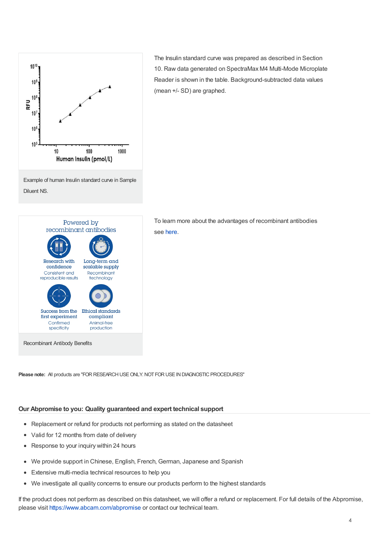

Powered by recombinant antibodies Research with Long-term and scalable supply confidence Consistent and Recombinant reproducible results technology Success from the Ethical standards first experiment compliant Confirmed Animal-free specificity production Recombinant Antibody Benefits

The Insulin standard curve was prepared as described in Section 10. Raw data generated on SpectraMax M4 Multi-Mode Microplate Reader is shown in the table. Background-subtracted data values (mean +/- SD) are graphed.

To learn more about the advantages of recombinant antibodies see [here](https://www.abcam.com/primary-antibodies/recombinant-antibodies).

**Please note:** All products are "FOR RESEARCH USE ONLY. NOT FOR USE IN DIAGNOSTIC PROCEDURES"

### **Our Abpromise to you: Quality guaranteed and expert technical support**

- Replacement or refund for products not performing as stated on the datasheet
- Valid for 12 months from date of delivery  $\bullet$
- Response to your inquiry within 24 hours
- We provide support in Chinese, English, French, German, Japanese and Spanish  $\bullet$
- Extensive multi-media technical resources to help you  $\bullet$
- $\bullet$ We investigate all quality concerns to ensure our products perform to the highest standards

If the product does not perform as described on this datasheet, we will offer a refund or replacement. For full details of the Abpromise, please visit <https://www.abcam.com/abpromise> or contact our technical team.